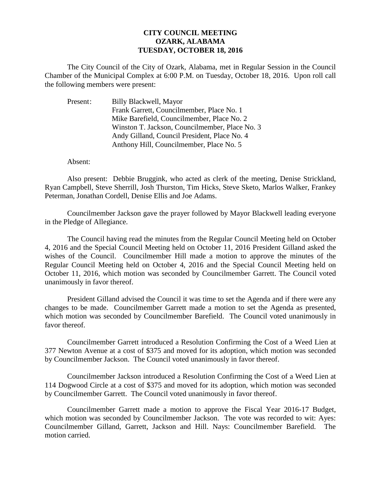## **CITY COUNCIL MEETING OZARK, ALABAMA TUESDAY, OCTOBER 18, 2016**

The City Council of the City of Ozark, Alabama, met in Regular Session in the Council Chamber of the Municipal Complex at 6:00 P.M. on Tuesday, October 18, 2016. Upon roll call the following members were present:

| Present: | Billy Blackwell, Mayor                         |
|----------|------------------------------------------------|
|          | Frank Garrett, Councilmember, Place No. 1      |
|          | Mike Barefield, Councilmember, Place No. 2     |
|          | Winston T. Jackson, Councilmember, Place No. 3 |
|          | Andy Gilland, Council President, Place No. 4   |
|          | Anthony Hill, Councilmember, Place No. 5       |

Absent:

Also present: Debbie Bruggink, who acted as clerk of the meeting, Denise Strickland, Ryan Campbell, Steve Sherrill, Josh Thurston, Tim Hicks, Steve Sketo, Marlos Walker, Frankey Peterman, Jonathan Cordell, Denise Ellis and Joe Adams.

Councilmember Jackson gave the prayer followed by Mayor Blackwell leading everyone in the Pledge of Allegiance.

The Council having read the minutes from the Regular Council Meeting held on October 4, 2016 and the Special Council Meeting held on October 11, 2016 President Gilland asked the wishes of the Council. Councilmember Hill made a motion to approve the minutes of the Regular Council Meeting held on October 4, 2016 and the Special Council Meeting held on October 11, 2016, which motion was seconded by Councilmember Garrett. The Council voted unanimously in favor thereof.

President Gilland advised the Council it was time to set the Agenda and if there were any changes to be made. Councilmember Garrett made a motion to set the Agenda as presented, which motion was seconded by Councilmember Barefield. The Council voted unanimously in favor thereof.

 Councilmember Garrett introduced a Resolution Confirming the Cost of a Weed Lien at 377 Newton Avenue at a cost of \$375 and moved for its adoption, which motion was seconded by Councilmember Jackson. The Council voted unanimously in favor thereof.

 Councilmember Jackson introduced a Resolution Confirming the Cost of a Weed Lien at 114 Dogwood Circle at a cost of \$375 and moved for its adoption, which motion was seconded by Councilmember Garrett. The Council voted unanimously in favor thereof.

Councilmember Garrett made a motion to approve the Fiscal Year 2016-17 Budget, which motion was seconded by Councilmember Jackson. The vote was recorded to wit: Ayes: Councilmember Gilland, Garrett, Jackson and Hill. Nays: Councilmember Barefield. The motion carried.